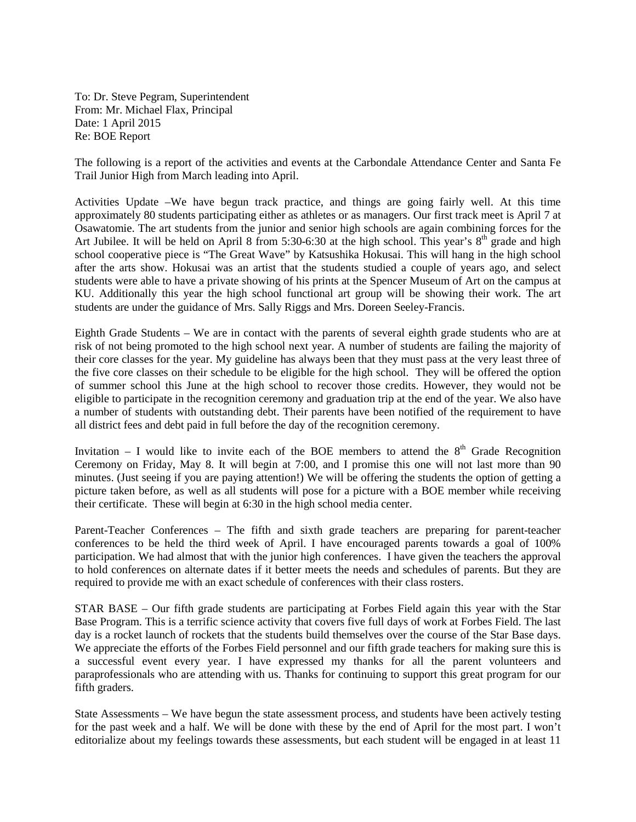To: Dr. Steve Pegram, Superintendent From: Mr. Michael Flax, Principal Date: 1 April 2015 Re: BOE Report

The following is a report of the activities and events at the Carbondale Attendance Center and Santa Fe Trail Junior High from March leading into April.

Activities Update –We have begun track practice, and things are going fairly well. At this time approximately 80 students participating either as athletes or as managers. Our first track meet is April 7 at Osawatomie. The art students from the junior and senior high schools are again combining forces for the Art Jubilee. It will be held on April 8 from 5:30-6:30 at the high school. This year's  $8<sup>th</sup>$  grade and high school cooperative piece is "The Great Wave" by Katsushika Hokusai. This will hang in the high school after the arts show. Hokusai was an artist that the students studied a couple of years ago, and select students were able to have a private showing of his prints at the Spencer Museum of Art on the campus at KU. Additionally this year the high school functional art group will be showing their work. The art students are under the guidance of Mrs. Sally Riggs and Mrs. Doreen Seeley-Francis.

Eighth Grade Students – We are in contact with the parents of several eighth grade students who are at risk of not being promoted to the high school next year. A number of students are failing the majority of their core classes for the year. My guideline has always been that they must pass at the very least three of the five core classes on their schedule to be eligible for the high school. They will be offered the option of summer school this June at the high school to recover those credits. However, they would not be eligible to participate in the recognition ceremony and graduation trip at the end of the year. We also have a number of students with outstanding debt. Their parents have been notified of the requirement to have all district fees and debt paid in full before the day of the recognition ceremony.

Invitation – I would like to invite each of the BOE members to attend the  $8<sup>th</sup>$  Grade Recognition Ceremony on Friday, May 8. It will begin at 7:00, and I promise this one will not last more than 90 minutes. (Just seeing if you are paying attention!) We will be offering the students the option of getting a picture taken before, as well as all students will pose for a picture with a BOE member while receiving their certificate. These will begin at 6:30 in the high school media center.

Parent-Teacher Conferences – The fifth and sixth grade teachers are preparing for parent-teacher conferences to be held the third week of April. I have encouraged parents towards a goal of 100% participation. We had almost that with the junior high conferences. I have given the teachers the approval to hold conferences on alternate dates if it better meets the needs and schedules of parents. But they are required to provide me with an exact schedule of conferences with their class rosters.

STAR BASE – Our fifth grade students are participating at Forbes Field again this year with the Star Base Program. This is a terrific science activity that covers five full days of work at Forbes Field. The last day is a rocket launch of rockets that the students build themselves over the course of the Star Base days. We appreciate the efforts of the Forbes Field personnel and our fifth grade teachers for making sure this is a successful event every year. I have expressed my thanks for all the parent volunteers and paraprofessionals who are attending with us. Thanks for continuing to support this great program for our fifth graders.

State Assessments – We have begun the state assessment process, and students have been actively testing for the past week and a half. We will be done with these by the end of April for the most part. I won't editorialize about my feelings towards these assessments, but each student will be engaged in at least 11